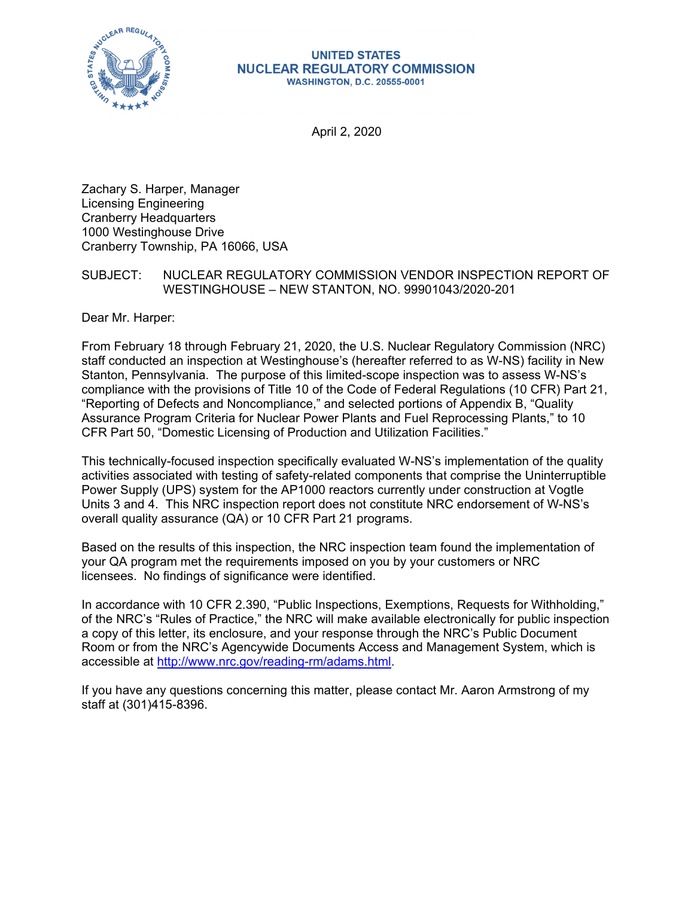

#### **UNITED STATES NUCLEAR REGULATORY COMMISSION WASHINGTON, D.C. 20555-0001**

April 2, 2020

Zachary S. Harper, Manager Licensing Engineering Cranberry Headquarters 1000 Westinghouse Drive Cranberry Township, PA 16066, USA

# SUBJECT: NUCLEAR REGULATORY COMMISSION VENDOR INSPECTION REPORT OF WESTINGHOUSE – NEW STANTON, NO. 99901043/2020-201

Dear Mr. Harper:

From February 18 through February 21, 2020, the U.S. Nuclear Regulatory Commission (NRC) staff conducted an inspection at Westinghouse's (hereafter referred to as W-NS) facility in New Stanton, Pennsylvania. The purpose of this limited-scope inspection was to assess W-NS's compliance with the provisions of Title 10 of the Code of Federal Regulations (10 CFR) Part 21, "Reporting of Defects and Noncompliance," and selected portions of Appendix B, "Quality Assurance Program Criteria for Nuclear Power Plants and Fuel Reprocessing Plants," to 10 CFR Part 50, "Domestic Licensing of Production and Utilization Facilities."

This technically-focused inspection specifically evaluated W-NS's implementation of the quality activities associated with testing of safety-related components that comprise the Uninterruptible Power Supply (UPS) system for the AP1000 reactors currently under construction at Vogtle Units 3 and 4. This NRC inspection report does not constitute NRC endorsement of W-NS's overall quality assurance (QA) or 10 CFR Part 21 programs.

Based on the results of this inspection, the NRC inspection team found the implementation of your QA program met the requirements imposed on you by your customers or NRC licensees. No findings of significance were identified.

In accordance with 10 CFR 2.390, "Public Inspections, Exemptions, Requests for Withholding," of the NRC's "Rules of Practice," the NRC will make available electronically for public inspection a copy of this letter, its enclosure, and your response through the NRC's Public Document Room or from the NRC's Agencywide Documents Access and Management System, which is accessible at http://www.nrc.gov/reading-rm/adams.html.

If you have any questions concerning this matter, please contact Mr. Aaron Armstrong of my staff at (301)415-8396.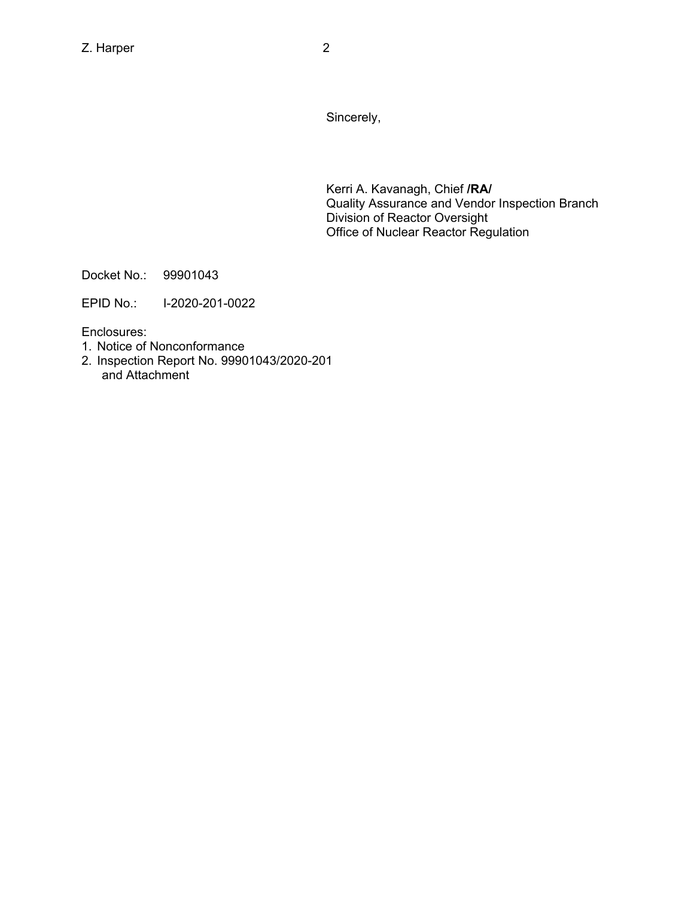Sincerely,

Kerri A. Kavanagh, Chief **/RA/**  Quality Assurance and Vendor Inspection Branch Division of Reactor Oversight Office of Nuclear Reactor Regulation

Docket No.: 99901043

EPID No.: I-2020-201-0022

Enclosures:

- 1. Notice of Nonconformance
- 2. Inspection Report No. 99901043/2020-201 and Attachment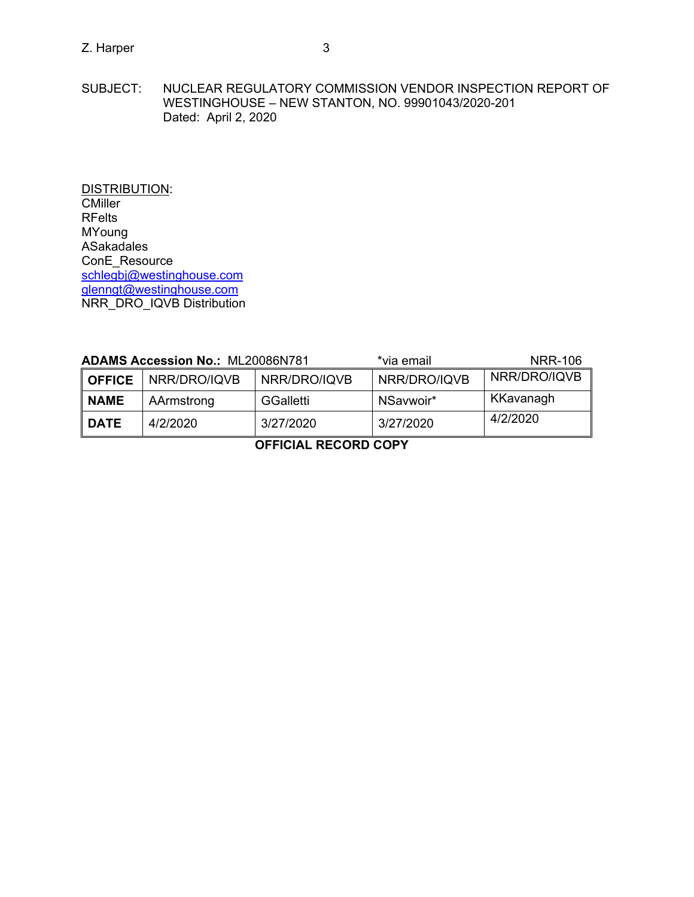DISTRIBUTION: **CMiller** RFelts MYoung ASakadales ConE\_Resource schlegbj@westinghouse.com glenngt@westinghouse.com NRR\_DRO\_IQVB Distribution

| <b>ADAMS Accession No.: ML20086N781</b> |              |              | *via email   | <b>NRR-106</b> |
|-----------------------------------------|--------------|--------------|--------------|----------------|
| <b>OFFICE</b>                           | NRR/DRO/IQVB | NRR/DRO/IQVB | NRR/DRO/IQVB | NRR/DRO/IQVB   |
| <b>NAME</b>                             | AArmstrong   | GGalletti    | NSavwoir*    | KKavanagh      |
| <b>DATE</b>                             | 4/2/2020     | 3/27/2020    | 3/27/2020    | 4/2/2020       |

**OFFICIAL RECORD COPY**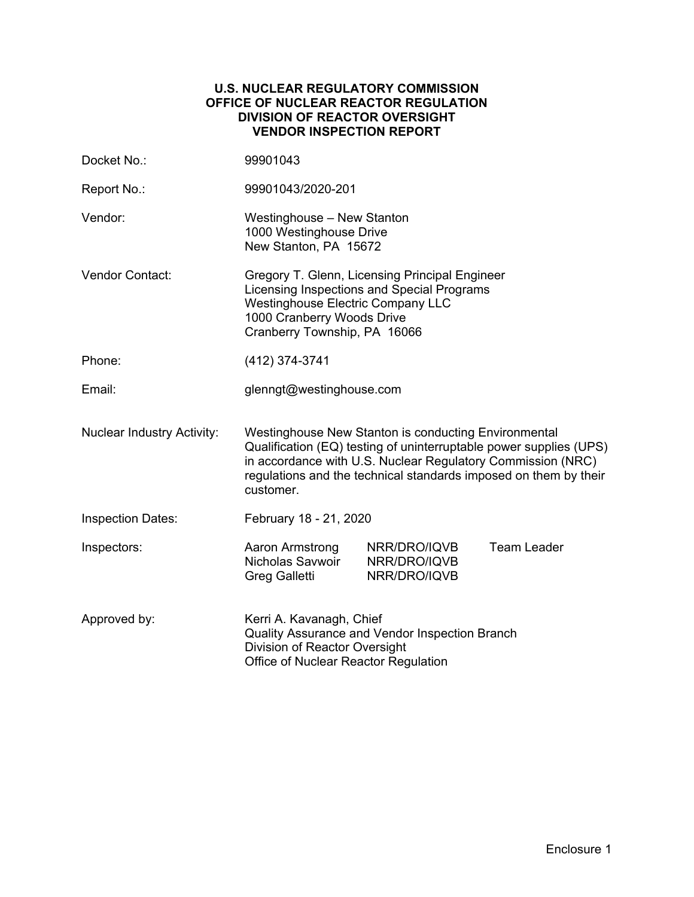## **U.S. NUCLEAR REGULATORY COMMISSION OFFICE OF NUCLEAR REACTOR REGULATION DIVISION OF REACTOR OVERSIGHT VENDOR INSPECTION REPORT**

| Docket No.:                       | 99901043                                                                                                                                                                                                                                                                   |                                                |                    |  |
|-----------------------------------|----------------------------------------------------------------------------------------------------------------------------------------------------------------------------------------------------------------------------------------------------------------------------|------------------------------------------------|--------------------|--|
| Report No.:                       | 99901043/2020-201                                                                                                                                                                                                                                                          |                                                |                    |  |
| Vendor:                           | Westinghouse - New Stanton<br>1000 Westinghouse Drive<br>New Stanton, PA 15672                                                                                                                                                                                             |                                                |                    |  |
| <b>Vendor Contact:</b>            | Gregory T. Glenn, Licensing Principal Engineer<br>Licensing Inspections and Special Programs<br><b>Westinghouse Electric Company LLC</b><br>1000 Cranberry Woods Drive<br>Cranberry Township, PA 16066                                                                     |                                                |                    |  |
| Phone:                            | (412) 374-3741                                                                                                                                                                                                                                                             |                                                |                    |  |
| Email:                            | glenngt@westinghouse.com                                                                                                                                                                                                                                                   |                                                |                    |  |
| <b>Nuclear Industry Activity:</b> | Westinghouse New Stanton is conducting Environmental<br>Qualification (EQ) testing of uninterruptable power supplies (UPS)<br>in accordance with U.S. Nuclear Regulatory Commission (NRC)<br>regulations and the technical standards imposed on them by their<br>customer. |                                                |                    |  |
| <b>Inspection Dates:</b>          | February 18 - 21, 2020                                                                                                                                                                                                                                                     |                                                |                    |  |
| Inspectors:                       | Aaron Armstrong<br>Nicholas Savwoir<br>Greg Galletti                                                                                                                                                                                                                       | NRR/DRO/IQVB<br>NRR/DRO/IQVB<br>NRR/DRO/IQVB   | <b>Team Leader</b> |  |
| Approved by:                      | Kerri A. Kavanagh, Chief<br>Division of Reactor Oversight<br>Office of Nuclear Reactor Regulation                                                                                                                                                                          | Quality Assurance and Vendor Inspection Branch |                    |  |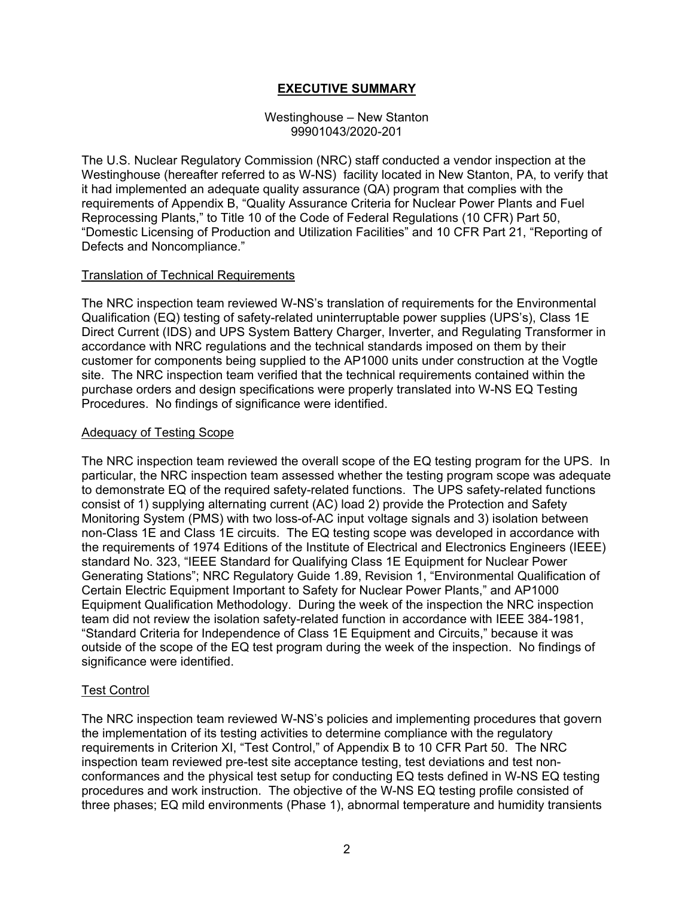# **EXECUTIVE SUMMARY**

## Westinghouse – New Stanton 99901043/2020-201

The U.S. Nuclear Regulatory Commission (NRC) staff conducted a vendor inspection at the Westinghouse (hereafter referred to as W-NS) facility located in New Stanton, PA, to verify that it had implemented an adequate quality assurance (QA) program that complies with the requirements of Appendix B, "Quality Assurance Criteria for Nuclear Power Plants and Fuel Reprocessing Plants," to Title 10 of the Code of Federal Regulations (10 CFR) Part 50, "Domestic Licensing of Production and Utilization Facilities" and 10 CFR Part 21, "Reporting of Defects and Noncompliance."

## Translation of Technical Requirements

The NRC inspection team reviewed W-NS's translation of requirements for the Environmental Qualification (EQ) testing of safety-related uninterruptable power supplies (UPS's), Class 1E Direct Current (IDS) and UPS System Battery Charger, Inverter, and Regulating Transformer in accordance with NRC regulations and the technical standards imposed on them by their customer for components being supplied to the AP1000 units under construction at the Vogtle site. The NRC inspection team verified that the technical requirements contained within the purchase orders and design specifications were properly translated into W-NS EQ Testing Procedures. No findings of significance were identified.

## Adequacy of Testing Scope

The NRC inspection team reviewed the overall scope of the EQ testing program for the UPS. In particular, the NRC inspection team assessed whether the testing program scope was adequate to demonstrate EQ of the required safety-related functions. The UPS safety-related functions consist of 1) supplying alternating current (AC) load 2) provide the Protection and Safety Monitoring System (PMS) with two loss-of-AC input voltage signals and 3) isolation between non-Class 1E and Class 1E circuits. The EQ testing scope was developed in accordance with the requirements of 1974 Editions of the Institute of Electrical and Electronics Engineers (IEEE) standard No. 323, "IEEE Standard for Qualifying Class 1E Equipment for Nuclear Power Generating Stations"; NRC Regulatory Guide 1.89, Revision 1, "Environmental Qualification of Certain Electric Equipment Important to Safety for Nuclear Power Plants," and AP1000 Equipment Qualification Methodology. During the week of the inspection the NRC inspection team did not review the isolation safety-related function in accordance with IEEE 384-1981, "Standard Criteria for Independence of Class 1E Equipment and Circuits," because it was outside of the scope of the EQ test program during the week of the inspection. No findings of significance were identified.

# Test Control

The NRC inspection team reviewed W-NS's policies and implementing procedures that govern the implementation of its testing activities to determine compliance with the regulatory requirements in Criterion XI, "Test Control," of Appendix B to 10 CFR Part 50. The NRC inspection team reviewed pre-test site acceptance testing, test deviations and test nonconformances and the physical test setup for conducting EQ tests defined in W-NS EQ testing procedures and work instruction. The objective of the W-NS EQ testing profile consisted of three phases; EQ mild environments (Phase 1), abnormal temperature and humidity transients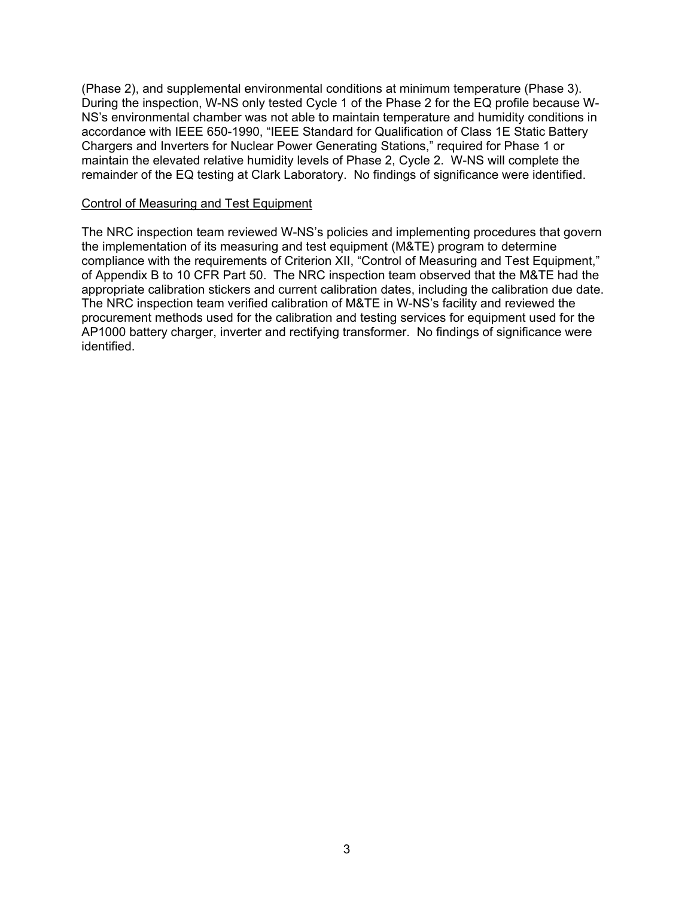(Phase 2), and supplemental environmental conditions at minimum temperature (Phase 3). During the inspection, W-NS only tested Cycle 1 of the Phase 2 for the EQ profile because W-NS's environmental chamber was not able to maintain temperature and humidity conditions in accordance with IEEE 650-1990, "IEEE Standard for Qualification of Class 1E Static Battery Chargers and Inverters for Nuclear Power Generating Stations," required for Phase 1 or maintain the elevated relative humidity levels of Phase 2, Cycle 2. W-NS will complete the remainder of the EQ testing at Clark Laboratory. No findings of significance were identified.

#### Control of Measuring and Test Equipment

The NRC inspection team reviewed W-NS's policies and implementing procedures that govern the implementation of its measuring and test equipment (M&TE) program to determine compliance with the requirements of Criterion XII, "Control of Measuring and Test Equipment," of Appendix B to 10 CFR Part 50. The NRC inspection team observed that the M&TE had the appropriate calibration stickers and current calibration dates, including the calibration due date. The NRC inspection team verified calibration of M&TE in W-NS's facility and reviewed the procurement methods used for the calibration and testing services for equipment used for the AP1000 battery charger, inverter and rectifying transformer. No findings of significance were identified.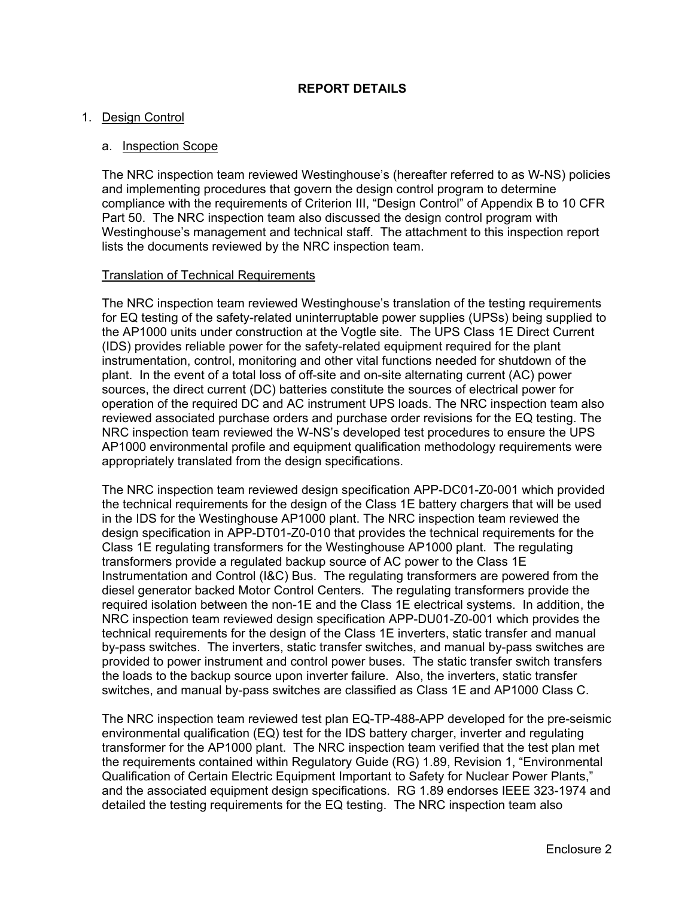## **REPORT DETAILS**

## 1. Design Control

## a. Inspection Scope

The NRC inspection team reviewed Westinghouse's (hereafter referred to as W-NS) policies and implementing procedures that govern the design control program to determine compliance with the requirements of Criterion III, "Design Control" of Appendix B to 10 CFR Part 50. The NRC inspection team also discussed the design control program with Westinghouse's management and technical staff. The attachment to this inspection report lists the documents reviewed by the NRC inspection team.

#### Translation of Technical Requirements

The NRC inspection team reviewed Westinghouse's translation of the testing requirements for EQ testing of the safety-related uninterruptable power supplies (UPSs) being supplied to the AP1000 units under construction at the Vogtle site. The UPS Class 1E Direct Current (IDS) provides reliable power for the safety-related equipment required for the plant instrumentation, control, monitoring and other vital functions needed for shutdown of the plant. In the event of a total loss of off-site and on-site alternating current (AC) power sources, the direct current (DC) batteries constitute the sources of electrical power for operation of the required DC and AC instrument UPS loads. The NRC inspection team also reviewed associated purchase orders and purchase order revisions for the EQ testing. The NRC inspection team reviewed the W-NS's developed test procedures to ensure the UPS AP1000 environmental profile and equipment qualification methodology requirements were appropriately translated from the design specifications.

The NRC inspection team reviewed design specification APP-DC01-Z0-001 which provided the technical requirements for the design of the Class 1E battery chargers that will be used in the IDS for the Westinghouse AP1000 plant. The NRC inspection team reviewed the design specification in APP-DT01-Z0-010 that provides the technical requirements for the Class 1E regulating transformers for the Westinghouse AP1000 plant. The regulating transformers provide a regulated backup source of AC power to the Class 1E Instrumentation and Control (I&C) Bus. The regulating transformers are powered from the diesel generator backed Motor Control Centers. The regulating transformers provide the required isolation between the non-1E and the Class 1E electrical systems. In addition, the NRC inspection team reviewed design specification APP-DU01-Z0-001 which provides the technical requirements for the design of the Class 1E inverters, static transfer and manual by-pass switches. The inverters, static transfer switches, and manual by-pass switches are provided to power instrument and control power buses. The static transfer switch transfers the loads to the backup source upon inverter failure. Also, the inverters, static transfer switches, and manual by-pass switches are classified as Class 1E and AP1000 Class C.

The NRC inspection team reviewed test plan EQ-TP-488-APP developed for the pre-seismic environmental qualification (EQ) test for the IDS battery charger, inverter and regulating transformer for the AP1000 plant. The NRC inspection team verified that the test plan met the requirements contained within Regulatory Guide (RG) 1.89, Revision 1, "Environmental Qualification of Certain Electric Equipment Important to Safety for Nuclear Power Plants," and the associated equipment design specifications. RG 1.89 endorses IEEE 323-1974 and detailed the testing requirements for the EQ testing. The NRC inspection team also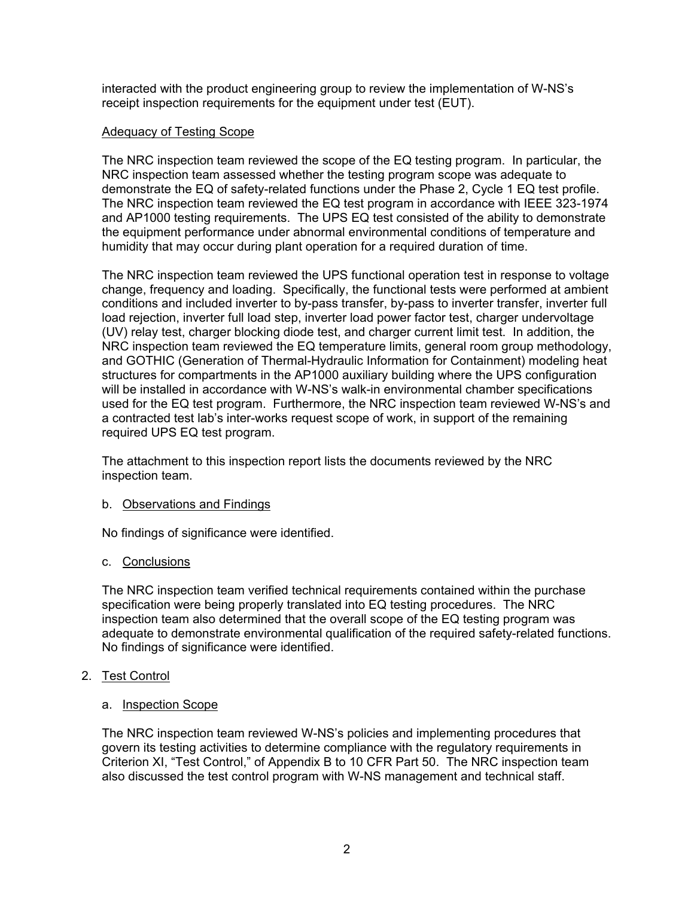interacted with the product engineering group to review the implementation of W-NS's receipt inspection requirements for the equipment under test (EUT).

# Adequacy of Testing Scope

The NRC inspection team reviewed the scope of the EQ testing program. In particular, the NRC inspection team assessed whether the testing program scope was adequate to demonstrate the EQ of safety-related functions under the Phase 2, Cycle 1 EQ test profile. The NRC inspection team reviewed the EQ test program in accordance with IEEE 323-1974 and AP1000 testing requirements. The UPS EQ test consisted of the ability to demonstrate the equipment performance under abnormal environmental conditions of temperature and humidity that may occur during plant operation for a required duration of time.

The NRC inspection team reviewed the UPS functional operation test in response to voltage change, frequency and loading. Specifically, the functional tests were performed at ambient conditions and included inverter to by-pass transfer, by-pass to inverter transfer, inverter full load rejection, inverter full load step, inverter load power factor test, charger undervoltage (UV) relay test, charger blocking diode test, and charger current limit test. In addition, the NRC inspection team reviewed the EQ temperature limits, general room group methodology, and GOTHIC (Generation of Thermal-Hydraulic Information for Containment) modeling heat structures for compartments in the AP1000 auxiliary building where the UPS configuration will be installed in accordance with W-NS's walk-in environmental chamber specifications used for the EQ test program. Furthermore, the NRC inspection team reviewed W-NS's and a contracted test lab's inter-works request scope of work, in support of the remaining required UPS EQ test program.

The attachment to this inspection report lists the documents reviewed by the NRC inspection team.

# b. Observations and Findings

No findings of significance were identified.

# c. Conclusions

The NRC inspection team verified technical requirements contained within the purchase specification were being properly translated into EQ testing procedures. The NRC inspection team also determined that the overall scope of the EQ testing program was adequate to demonstrate environmental qualification of the required safety-related functions. No findings of significance were identified.

# 2. Test Control

# a. Inspection Scope

The NRC inspection team reviewed W-NS's policies and implementing procedures that govern its testing activities to determine compliance with the regulatory requirements in Criterion XI, "Test Control," of Appendix B to 10 CFR Part 50. The NRC inspection team also discussed the test control program with W-NS management and technical staff.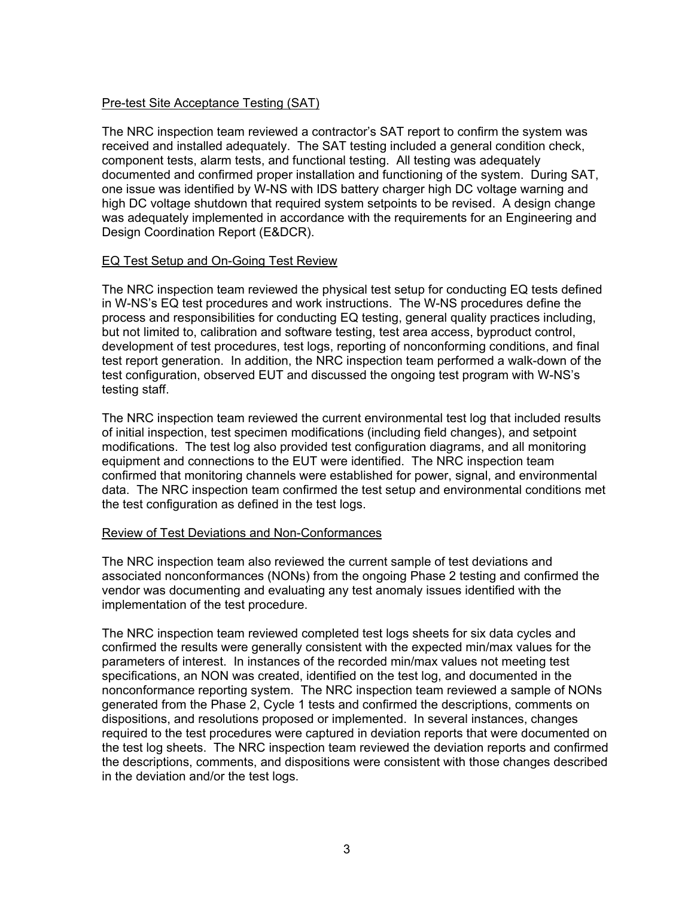# Pre-test Site Acceptance Testing (SAT)

The NRC inspection team reviewed a contractor's SAT report to confirm the system was received and installed adequately. The SAT testing included a general condition check, component tests, alarm tests, and functional testing. All testing was adequately documented and confirmed proper installation and functioning of the system. During SAT, one issue was identified by W-NS with IDS battery charger high DC voltage warning and high DC voltage shutdown that required system setpoints to be revised. A design change was adequately implemented in accordance with the requirements for an Engineering and Design Coordination Report (E&DCR).

## EQ Test Setup and On-Going Test Review

The NRC inspection team reviewed the physical test setup for conducting EQ tests defined in W-NS's EQ test procedures and work instructions. The W-NS procedures define the process and responsibilities for conducting EQ testing, general quality practices including, but not limited to, calibration and software testing, test area access, byproduct control, development of test procedures, test logs, reporting of nonconforming conditions, and final test report generation. In addition, the NRC inspection team performed a walk-down of the test configuration, observed EUT and discussed the ongoing test program with W-NS's testing staff.

The NRC inspection team reviewed the current environmental test log that included results of initial inspection, test specimen modifications (including field changes), and setpoint modifications. The test log also provided test configuration diagrams, and all monitoring equipment and connections to the EUT were identified. The NRC inspection team confirmed that monitoring channels were established for power, signal, and environmental data. The NRC inspection team confirmed the test setup and environmental conditions met the test configuration as defined in the test logs.

## Review of Test Deviations and Non-Conformances

The NRC inspection team also reviewed the current sample of test deviations and associated nonconformances (NONs) from the ongoing Phase 2 testing and confirmed the vendor was documenting and evaluating any test anomaly issues identified with the implementation of the test procedure.

The NRC inspection team reviewed completed test logs sheets for six data cycles and confirmed the results were generally consistent with the expected min/max values for the parameters of interest. In instances of the recorded min/max values not meeting test specifications, an NON was created, identified on the test log, and documented in the nonconformance reporting system. The NRC inspection team reviewed a sample of NONs generated from the Phase 2, Cycle 1 tests and confirmed the descriptions, comments on dispositions, and resolutions proposed or implemented. In several instances, changes required to the test procedures were captured in deviation reports that were documented on the test log sheets. The NRC inspection team reviewed the deviation reports and confirmed the descriptions, comments, and dispositions were consistent with those changes described in the deviation and/or the test logs.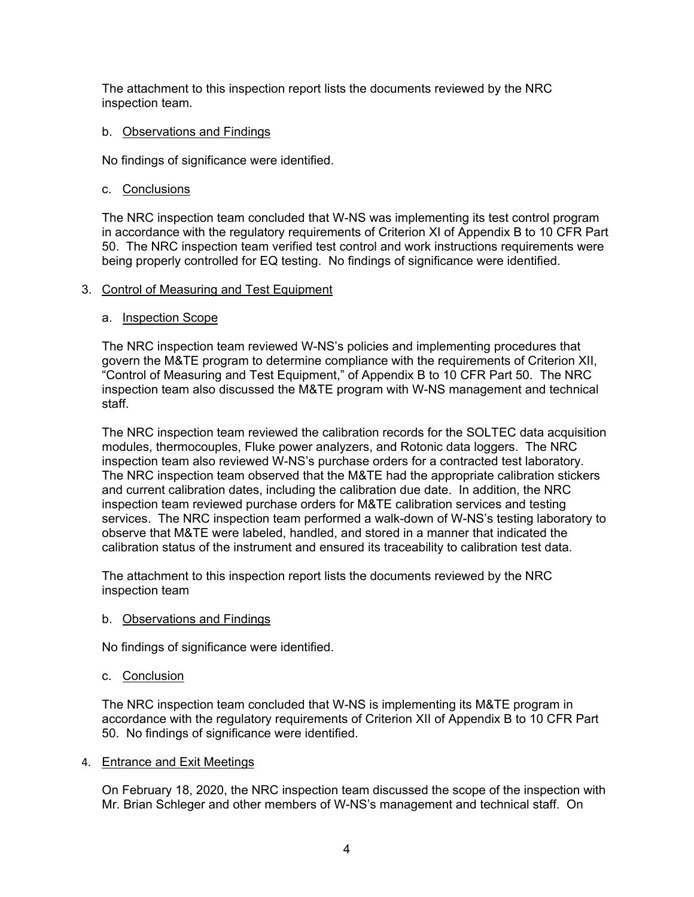The attachment to this inspection report lists the documents reviewed by the NRC inspection team.

## b. Observations and Findings

No findings of significance were identified.

## c. Conclusions

The NRC inspection team concluded that W-NS was implementing its test control program in accordance with the regulatory requirements of Criterion XI of Appendix B to 10 CFR Part 50. The NRC inspection team verified test control and work instructions requirements were being properly controlled for EQ testing. No findings of significance were identified.

## 3. Control of Measuring and Test Equipment

## a. Inspection Scope

The NRC inspection team reviewed W-NS's policies and implementing procedures that govern the M&TE program to determine compliance with the requirements of Criterion XII, "Control of Measuring and Test Equipment," of Appendix B to 10 CFR Part 50. The NRC inspection team also discussed the M&TE program with W-NS management and technical staff.

The NRC inspection team reviewed the calibration records for the SOLTEC data acquisition modules, thermocouples, Fluke power analyzers, and Rotonic data loggers. The NRC inspection team also reviewed W-NS's purchase orders for a contracted test laboratory. The NRC inspection team observed that the M&TE had the appropriate calibration stickers and current calibration dates, including the calibration due date. In addition, the NRC inspection team reviewed purchase orders for M&TE calibration services and testing services. The NRC inspection team performed a walk-down of W-NS's testing laboratory to observe that M&TE were labeled, handled, and stored in a manner that indicated the calibration status of the instrument and ensured its traceability to calibration test data.

The attachment to this inspection report lists the documents reviewed by the NRC inspection team

## b. Observations and Findings

No findings of significance were identified.

# c. Conclusion

The NRC inspection team concluded that W-NS is implementing its M&TE program in accordance with the regulatory requirements of Criterion XII of Appendix B to 10 CFR Part 50. No findings of significance were identified.

# 4. Entrance and Exit Meetings

On February 18, 2020, the NRC inspection team discussed the scope of the inspection with Mr. Brian Schleger and other members of W-NS's management and technical staff. On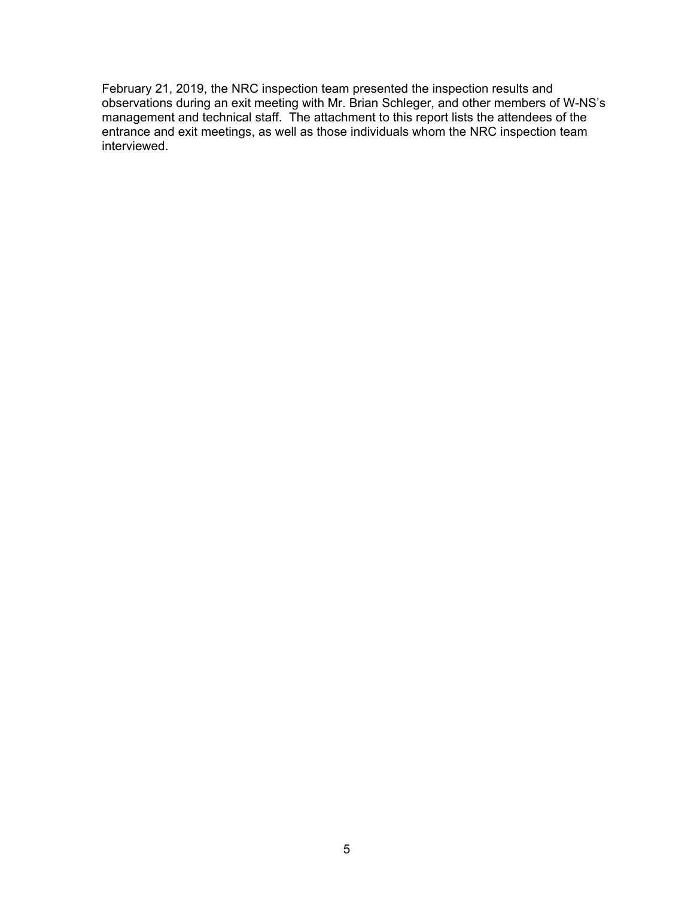February 21, 2019, the NRC inspection team presented the inspection results and observations during an exit meeting with Mr. Brian Schleger, and other members of W-NS's management and technical staff. The attachment to this report lists the attendees of the entrance and exit meetings, as well as those individuals whom the NRC inspection team interviewed.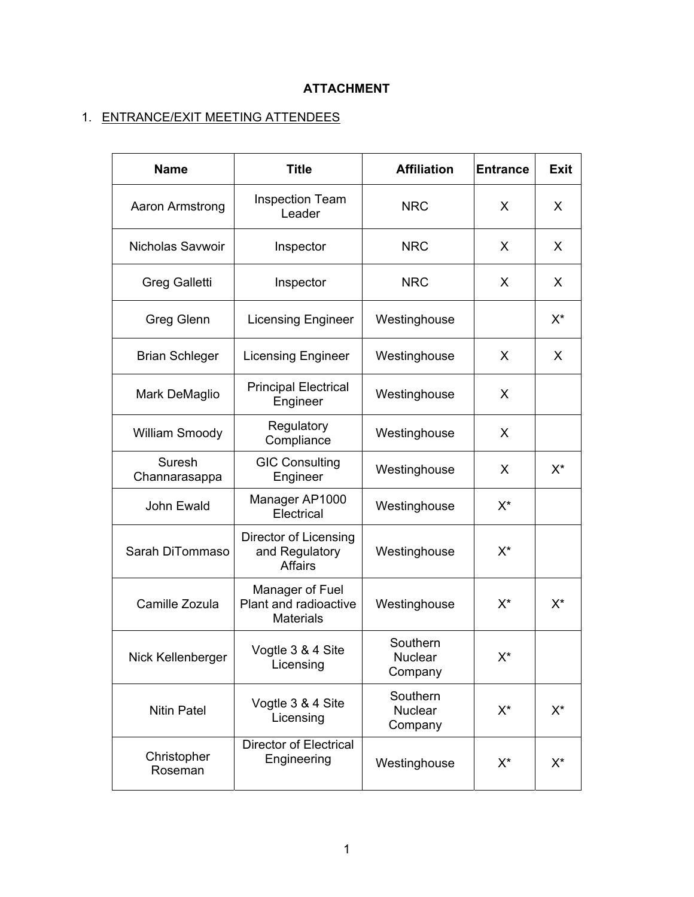# **ATTACHMENT**

# 1. ENTRANCE/EXIT MEETING ATTENDEES

| <b>Name</b>             | <b>Title</b>                                                 | <b>Affiliation</b>                    | <b>Entrance</b> | <b>Exit</b> |
|-------------------------|--------------------------------------------------------------|---------------------------------------|-----------------|-------------|
| Aaron Armstrong         | <b>Inspection Team</b><br>Leader                             | <b>NRC</b>                            | X               | X           |
| <b>Nicholas Savwoir</b> | Inspector                                                    | <b>NRC</b>                            | X               | X           |
| <b>Greg Galletti</b>    | Inspector                                                    | <b>NRC</b>                            | X               | X           |
| <b>Greg Glenn</b>       | <b>Licensing Engineer</b>                                    | Westinghouse                          |                 | $X^*$       |
| <b>Brian Schleger</b>   | <b>Licensing Engineer</b>                                    | Westinghouse                          | X               | X           |
| Mark DeMaglio           | <b>Principal Electrical</b><br>Engineer                      | Westinghouse                          | X               |             |
| William Smoody          | Regulatory<br>Compliance                                     | Westinghouse                          | X               |             |
| Suresh<br>Channarasappa | <b>GIC Consulting</b><br>Engineer                            | Westinghouse                          | X               | $X^*$       |
| John Ewald              | Manager AP1000<br>Electrical                                 | Westinghouse                          | $X^*$           |             |
| Sarah DiTommaso         | Director of Licensing<br>and Regulatory<br><b>Affairs</b>    | Westinghouse                          | $X^*$           |             |
| Camille Zozula          | Manager of Fuel<br>Plant and radioactive<br><b>Materials</b> | Westinghouse                          | $X^*$           | X*          |
| Nick Kellenberger       | Vogtle 3 & 4 Site<br>Licensing                               | Southern<br>Nuclear<br>Company        | X*              |             |
| <b>Nitin Patel</b>      | Vogtle 3 & 4 Site<br>Licensing                               | Southern<br><b>Nuclear</b><br>Company | $X^*$           | X*          |
| Christopher<br>Roseman  | <b>Director of Electrical</b><br>Engineering                 | Westinghouse                          | $X^*$           | X*          |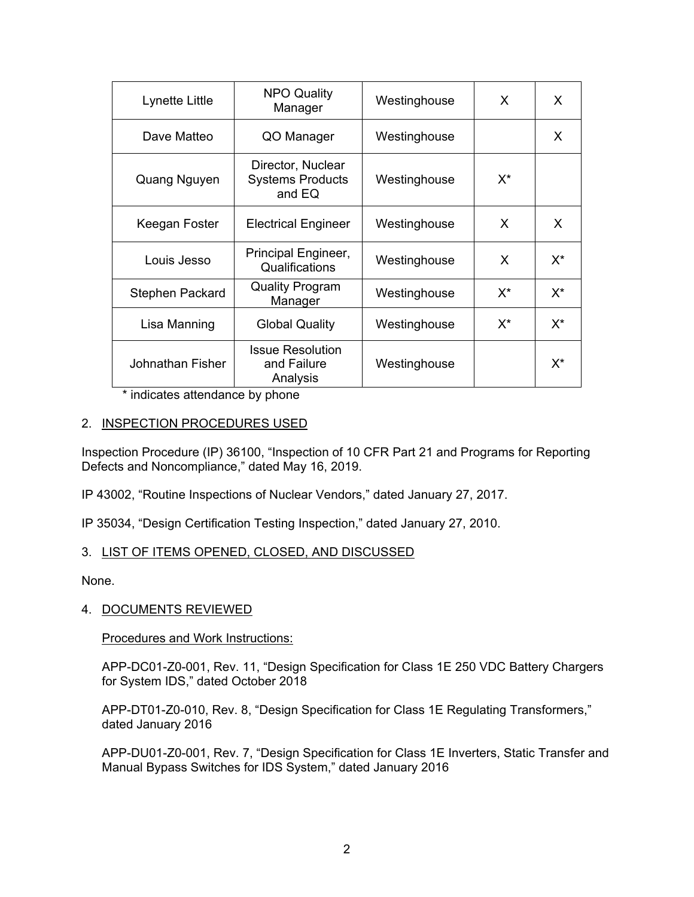| Lynette Little   | <b>NPO Quality</b><br>Manager                          | Westinghouse | X     | X     |
|------------------|--------------------------------------------------------|--------------|-------|-------|
| Dave Matteo      | QO Manager                                             | Westinghouse |       | X     |
| Quang Nguyen     | Director, Nuclear<br><b>Systems Products</b><br>and EQ | Westinghouse | $X^*$ |       |
| Keegan Foster    | <b>Electrical Engineer</b>                             | Westinghouse | X     | X     |
| Louis Jesso      | Principal Engineer,<br>Qualifications                  | Westinghouse | X     | $X^*$ |
| Stephen Packard  | <b>Quality Program</b><br>Manager                      | Westinghouse | $X^*$ | $X^*$ |
| Lisa Manning     | <b>Global Quality</b>                                  | Westinghouse | X*    | $X^*$ |
| Johnathan Fisher | <b>Issue Resolution</b><br>and Failure<br>Analysis     | Westinghouse |       | $X^*$ |

\* indicates attendance by phone

# 2. INSPECTION PROCEDURES USED

Inspection Procedure (IP) 36100, "Inspection of 10 CFR Part 21 and Programs for Reporting Defects and Noncompliance," dated May 16, 2019.

IP 43002, "Routine Inspections of Nuclear Vendors," dated January 27, 2017.

IP 35034, "Design Certification Testing Inspection," dated January 27, 2010.

## 3. LIST OF ITEMS OPENED, CLOSED, AND DISCUSSED

None.

# 4. DOCUMENTS REVIEWED

Procedures and Work Instructions:

APP-DC01-Z0-001, Rev. 11, "Design Specification for Class 1E 250 VDC Battery Chargers for System IDS," dated October 2018

APP-DT01-Z0-010, Rev. 8, "Design Specification for Class 1E Regulating Transformers," dated January 2016

APP-DU01-Z0-001, Rev. 7, "Design Specification for Class 1E Inverters, Static Transfer and Manual Bypass Switches for IDS System," dated January 2016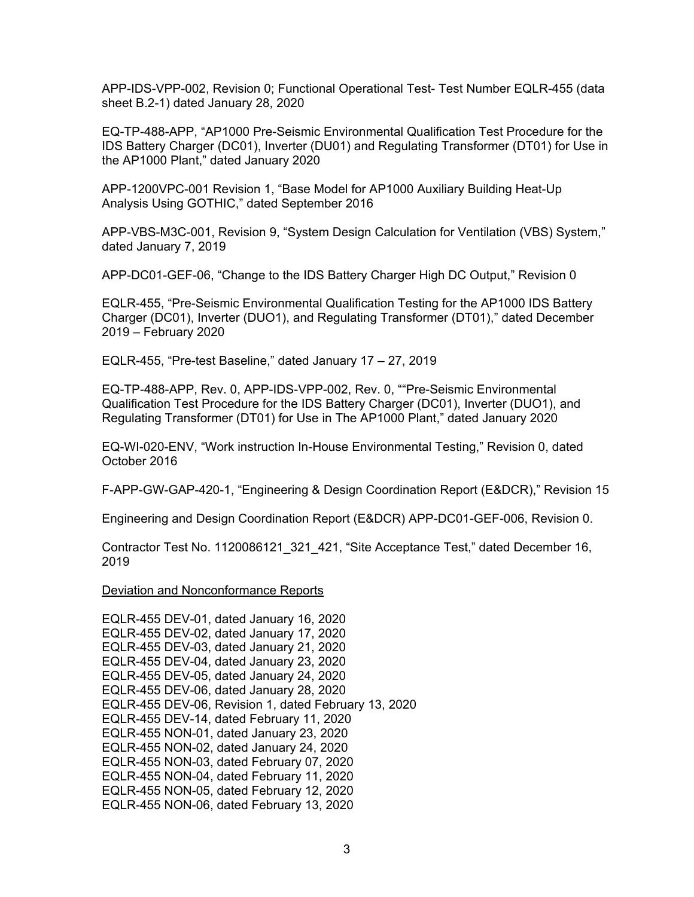APP-IDS-VPP-002, Revision 0; Functional Operational Test- Test Number EQLR-455 (data sheet B.2-1) dated January 28, 2020

EQ-TP-488-APP, "AP1000 Pre-Seismic Environmental Qualification Test Procedure for the IDS Battery Charger (DC01), Inverter (DU01) and Regulating Transformer (DT01) for Use in the AP1000 Plant," dated January 2020

APP-1200VPC-001 Revision 1, "Base Model for AP1000 Auxiliary Building Heat-Up Analysis Using GOTHIC," dated September 2016

APP-VBS-M3C-001, Revision 9, "System Design Calculation for Ventilation (VBS) System," dated January 7, 2019

APP-DC01-GEF-06, "Change to the IDS Battery Charger High DC Output," Revision 0

EQLR-455, "Pre-Seismic Environmental Qualification Testing for the AP1000 IDS Battery Charger (DC01), Inverter (DUO1), and Regulating Transformer (DT01)," dated December 2019 – February 2020

EQLR-455, "Pre-test Baseline," dated January 17 – 27, 2019

EQ-TP-488-APP, Rev. 0, APP-IDS-VPP-002, Rev. 0, ""Pre-Seismic Environmental Qualification Test Procedure for the IDS Battery Charger (DC01), Inverter (DUO1), and Regulating Transformer (DT01) for Use in The AP1000 Plant," dated January 2020

EQ-WI-020-ENV, "Work instruction In-House Environmental Testing," Revision 0, dated October 2016

F-APP-GW-GAP-420-1, "Engineering & Design Coordination Report (E&DCR)," Revision 15

Engineering and Design Coordination Report (E&DCR) APP-DC01-GEF-006, Revision 0.

Contractor Test No. 1120086121\_321\_421, "Site Acceptance Test," dated December 16, 2019

Deviation and Nonconformance Reports

EQLR-455 DEV-01, dated January 16, 2020 EQLR-455 DEV-02, dated January 17, 2020 EQLR-455 DEV-03, dated January 21, 2020 EQLR-455 DEV-04, dated January 23, 2020 EQLR-455 DEV-05, dated January 24, 2020 EQLR-455 DEV-06, dated January 28, 2020 EQLR-455 DEV-06, Revision 1, dated February 13, 2020 EQLR-455 DEV-14, dated February 11, 2020 EQLR-455 NON-01, dated January 23, 2020 EQLR-455 NON-02, dated January 24, 2020 EQLR-455 NON-03, dated February 07, 2020 EQLR-455 NON-04, dated February 11, 2020 EQLR-455 NON-05, dated February 12, 2020 EQLR-455 NON-06, dated February 13, 2020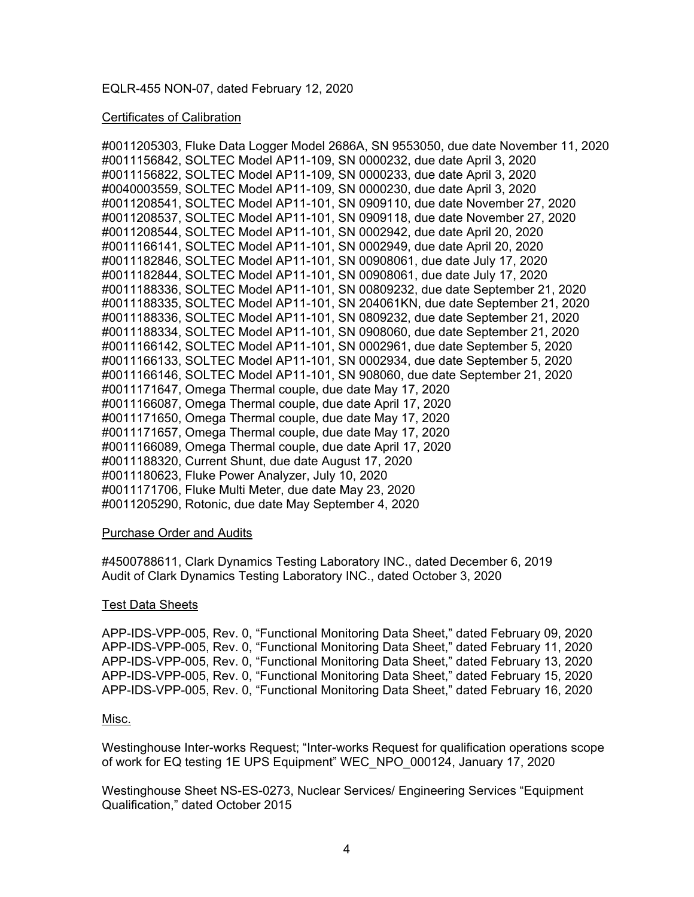## EQLR-455 NON-07, dated February 12, 2020

## Certificates of Calibration

#0011205303, Fluke Data Logger Model 2686A, SN 9553050, due date November 11, 2020 #0011156842, SOLTEC Model AP11-109, SN 0000232, due date April 3, 2020 #0011156822, SOLTEC Model AP11-109, SN 0000233, due date April 3, 2020 #0040003559, SOLTEC Model AP11-109, SN 0000230, due date April 3, 2020 #0011208541, SOLTEC Model AP11-101, SN 0909110, due date November 27, 2020 #0011208537, SOLTEC Model AP11-101, SN 0909118, due date November 27, 2020 #0011208544, SOLTEC Model AP11-101, SN 0002942, due date April 20, 2020 #0011166141, SOLTEC Model AP11-101, SN 0002949, due date April 20, 2020 #0011182846, SOLTEC Model AP11-101, SN 00908061, due date July 17, 2020 #0011182844, SOLTEC Model AP11-101, SN 00908061, due date July 17, 2020 #0011188336, SOLTEC Model AP11-101, SN 00809232, due date September 21, 2020 #0011188335, SOLTEC Model AP11-101, SN 204061KN, due date September 21, 2020 #0011188336, SOLTEC Model AP11-101, SN 0809232, due date September 21, 2020 #0011188334, SOLTEC Model AP11-101, SN 0908060, due date September 21, 2020 #0011166142, SOLTEC Model AP11-101, SN 0002961, due date September 5, 2020 #0011166133, SOLTEC Model AP11-101, SN 0002934, due date September 5, 2020 #0011166146, SOLTEC Model AP11-101, SN 908060, due date September 21, 2020 #0011171647, Omega Thermal couple, due date May 17, 2020 #0011166087, Omega Thermal couple, due date April 17, 2020 #0011171650, Omega Thermal couple, due date May 17, 2020 #0011171657, Omega Thermal couple, due date May 17, 2020 #0011166089, Omega Thermal couple, due date April 17, 2020 #0011188320, Current Shunt, due date August 17, 2020 #0011180623, Fluke Power Analyzer, July 10, 2020 #0011171706, Fluke Multi Meter, due date May 23, 2020 #0011205290, Rotonic, due date May September 4, 2020

## Purchase Order and Audits

#4500788611, Clark Dynamics Testing Laboratory INC., dated December 6, 2019 Audit of Clark Dynamics Testing Laboratory INC., dated October 3, 2020

## Test Data Sheets

APP-IDS-VPP-005, Rev. 0, "Functional Monitoring Data Sheet," dated February 09, 2020 APP-IDS-VPP-005, Rev. 0, "Functional Monitoring Data Sheet," dated February 11, 2020 APP-IDS-VPP-005, Rev. 0, "Functional Monitoring Data Sheet," dated February 13, 2020 APP-IDS-VPP-005, Rev. 0, "Functional Monitoring Data Sheet," dated February 15, 2020 APP-IDS-VPP-005, Rev. 0, "Functional Monitoring Data Sheet," dated February 16, 2020

## Misc.

Westinghouse Inter-works Request; "Inter-works Request for qualification operations scope of work for EQ testing 1E UPS Equipment" WEC\_NPO\_000124, January 17, 2020

Westinghouse Sheet NS-ES-0273, Nuclear Services/ Engineering Services "Equipment Qualification," dated October 2015